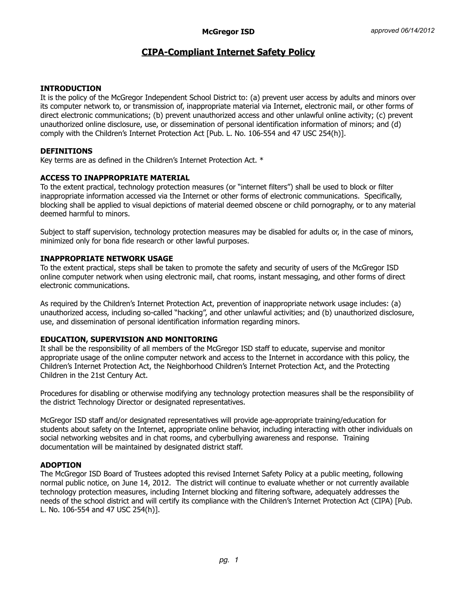# **CIPA-Compliant Internet Safety Policy**

## **INTRODUCTION**

It is the policy of the McGregor Independent School District to: (a) prevent user access by adults and minors over its computer network to, or transmission of, inappropriate material via Internet, electronic mail, or other forms of direct electronic communications; (b) prevent unauthorized access and other unlawful online activity; (c) prevent unauthorized online disclosure, use, or dissemination of personal identification information of minors; and (d) comply with the Children's Internet Protection Act [Pub. L. No. 106-554 and 47 USC 254(h)].

## **DEFINITIONS**

Key terms are as defined in the Children's Internet Protection Act. \*

### **ACCESS TO INAPPROPRIATE MATERIAL**

To the extent practical, technology protection measures (or "internet filters") shall be used to block or filter inappropriate information accessed via the Internet or other forms of electronic communications. Specifically, blocking shall be applied to visual depictions of material deemed obscene or child pornography, or to any material deemed harmful to minors.

Subject to staff supervision, technology protection measures may be disabled for adults or, in the case of minors, minimized only for bona fide research or other lawful purposes.

# **INAPPROPRIATE NETWORK USAGE**

To the extent practical, steps shall be taken to promote the safety and security of users of the McGregor ISD online computer network when using electronic mail, chat rooms, instant messaging, and other forms of direct electronic communications.

As required by the Children's Internet Protection Act, prevention of inappropriate network usage includes: (a) unauthorized access, including so-called "hacking", and other unlawful activities; and (b) unauthorized disclosure, use, and dissemination of personal identification information regarding minors.

### **EDUCATION, SUPERVISION AND MONITORING**

It shall be the responsibility of all members of the McGregor ISD staff to educate, supervise and monitor appropriate usage of the online computer network and access to the Internet in accordance with this policy, the Children's Internet Protection Act, the Neighborhood Children's Internet Protection Act, and the Protecting Children in the 21st Century Act.

Procedures for disabling or otherwise modifying any technology protection measures shall be the responsibility of the district Technology Director or designated representatives.

McGregor ISD staff and/or designated representatives will provide age-appropriate training/education for students about safety on the Internet, appropriate online behavior, including interacting with other individuals on social networking websites and in chat rooms, and cyberbullying awareness and response. Training documentation will be maintained by designated district staff.

### **ADOPTION**

The McGregor ISD Board of Trustees adopted this revised Internet Safety Policy at a public meeting, following normal public notice, on June 14, 2012. The district will continue to evaluate whether or not currently available technology protection measures, including Internet blocking and filtering software, adequately addresses the needs of the school district and will certify its compliance with the Children's Internet Protection Act (CIPA) [Pub. L. No. 106-554 and 47 USC 254(h)].